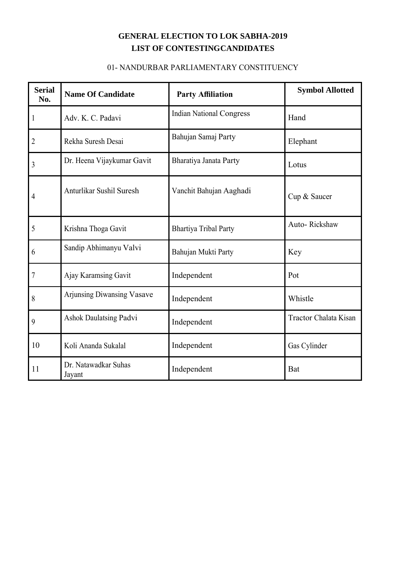#### 01- NANDURBAR PARLIAMENTARY CONSTITUENCY

| <b>Serial</b><br>No. | <b>Name Of Candidate</b>       | <b>Party Affiliation</b>        | <b>Symbol Allotted</b> |
|----------------------|--------------------------------|---------------------------------|------------------------|
| 1                    | Adv. K. C. Padavi              | <b>Indian National Congress</b> | Hand                   |
| 2                    | Rekha Suresh Desai             | Bahujan Samaj Party             | Elephant               |
| 3                    | Dr. Heena Vijaykumar Gavit     | Bharatiya Janata Party          | Lotus                  |
| 4                    | Anturlikar Sushil Suresh       | Vanchit Bahujan Aaghadi         | Cup & Saucer           |
| 5                    | Krishna Thoga Gavit            | <b>Bhartiya Tribal Party</b>    | Auto-Rickshaw          |
| 6                    | Sandip Abhimanyu Valvi         | Bahujan Mukti Party             | Key                    |
| 7                    | Ajay Karamsing Gavit           | Independent                     | Pot                    |
| 8                    | Arjunsing Diwansing Vasave     | Independent                     | Whistle                |
| 9                    | <b>Ashok Daulatsing Padvi</b>  | Independent                     | Tractor Chalata Kisan  |
| 10                   | Koli Ananda Sukalal            | Independent                     | Gas Cylinder           |
| 11                   | Dr. Natawadkar Suhas<br>Jayant | Independent                     | Bat                    |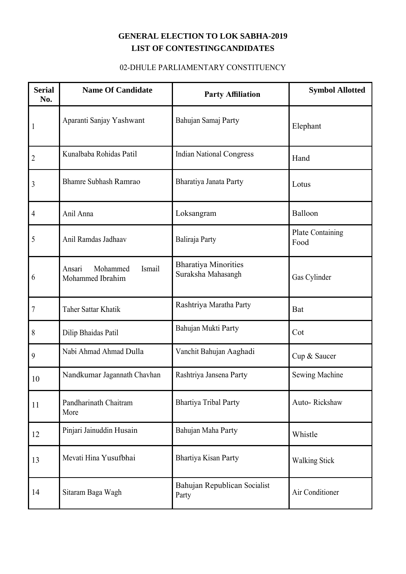#### 02-DHULE PARLIAMENTARY CONSTITUENCY

| <b>Serial</b><br>No. | <b>Name Of Candidate</b>                         | <b>Party Affiliation</b>                          | <b>Symbol Allotted</b>   |
|----------------------|--------------------------------------------------|---------------------------------------------------|--------------------------|
| 1                    | Aparanti Sanjay Yashwant                         | Bahujan Samaj Party                               | Elephant                 |
| 2                    | Kunalbaba Rohidas Patil                          | <b>Indian National Congress</b>                   | Hand                     |
| 3                    | Bhamre Subhash Ramrao                            | Bharatiya Janata Party                            | Lotus                    |
| $\overline{4}$       | Anil Anna                                        | Loksangram                                        | Balloon                  |
| 5                    | Anil Ramdas Jadhaav                              | Baliraja Party                                    | Plate Containing<br>Food |
| 6                    | Ismail<br>Ansari<br>Mohammed<br>Mohammed Ibrahim | <b>Bharatiya Minorities</b><br>Suraksha Mahasangh | Gas Cylinder             |
| $\overline{7}$       | Taher Sattar Khatik                              | Rashtriya Maratha Party                           | Bat                      |
| 8                    | Dilip Bhaidas Patil                              | Bahujan Mukti Party                               | Cot                      |
| 9                    | Nabi Ahmad Ahmad Dulla                           | Vanchit Bahujan Aaghadi                           | Cup & Saucer             |
| 10                   | Nandkumar Jagannath Chavhan                      | Rashtriya Jansena Party                           | Sewing Machine           |
| 11                   | Pandharinath Chaitram<br>More                    | <b>Bhartiya Tribal Party</b>                      | Auto-Rickshaw            |
| 12                   | Pinjari Jainuddin Husain                         | Bahujan Maha Party                                | Whistle                  |
| 13                   | Mevati Hina Yusufbhai                            | <b>Bhartiya Kisan Party</b>                       | <b>Walking Stick</b>     |
| 14                   | Sitaram Baga Wagh                                | Bahujan Republican Socialist<br>Party             | Air Conditioner          |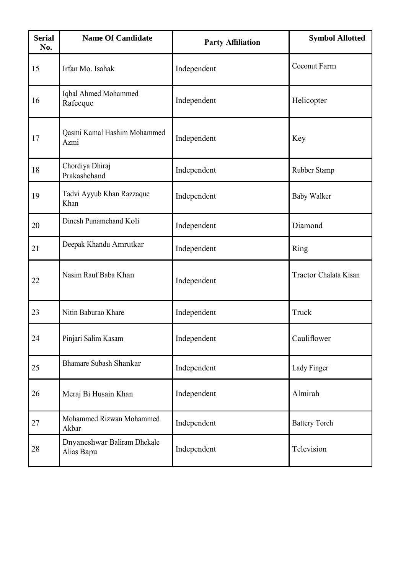| <b>Serial</b><br>No. | <b>Name Of Candidate</b>                  | <b>Party Affiliation</b> | <b>Symbol Allotted</b> |
|----------------------|-------------------------------------------|--------------------------|------------------------|
| 15                   | Irfan Mo. Isahak                          | Independent              | Coconut Farm           |
| 16                   | Iqbal Ahmed Mohammed<br>Rafeeque          | Independent              | Helicopter             |
| 17                   | Qasmi Kamal Hashim Mohammed<br>Azmi       | Independent              | Key                    |
| 18                   | Chordiya Dhiraj<br>Prakashchand           | Independent              | Rubber Stamp           |
| 19                   | Tadvi Ayyub Khan Razzaque<br>Khan         | Independent              | <b>Baby Walker</b>     |
| 20                   | Dinesh Punamchand Koli                    | Independent              | Diamond                |
| 21                   | Deepak Khandu Amrutkar                    | Independent              | Ring                   |
| 22                   | Nasim Rauf Baba Khan                      | Independent              | Tractor Chalata Kisan  |
| 23                   | Nitin Baburao Khare                       | Independent              | Truck                  |
| 24                   | Pinjari Salim Kasam                       | Independent              | Cauliflower            |
| 25                   | <b>Bhamare Subash Shankar</b>             | Independent              | Lady Finger            |
| 26                   | Meraj Bi Husain Khan                      | Independent              | Almirah                |
| 27                   | Mohammed Rizwan Mohammed<br>Akbar         | Independent              | <b>Battery Torch</b>   |
| 28                   | Dnyaneshwar Baliram Dhekale<br>Alias Bapu | Independent              | Television             |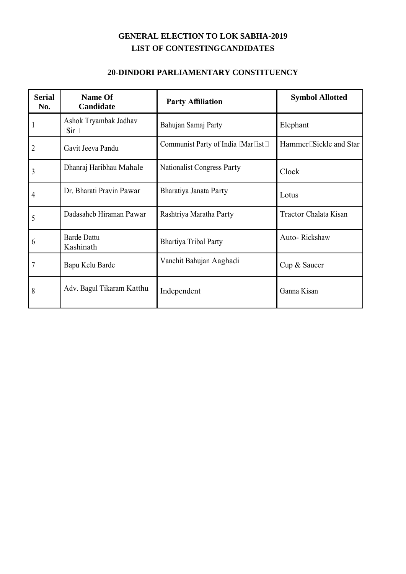#### **20-DINDORI PARLIAMENTARY CONSTITUENCY**

| <b>Serial</b><br>No. | Name Of<br>Candidate            | <b>Party Affiliation</b>           | <b>Symbol Allotted</b>  |
|----------------------|---------------------------------|------------------------------------|-------------------------|
|                      | Ashok Tryambak Jadhav<br>(Sir)  | Bahujan Samaj Party                | Elephant                |
|                      | Gavit Jeeva Pandu               | Communist Party of India (Marxist) | Hammer, Sickle and Star |
| 3                    | Dhanraj Haribhau Mahale         | <b>Nationalist Congress Party</b>  | Clock                   |
| 4                    | Dr. Bharati Pravin Pawar        | Bharatiya Janata Party             | Lotus                   |
| 5                    | Dadasaheb Hiraman Pawar         | Rashtriya Maratha Party            | Tractor Chalata Kisan   |
| 6                    | <b>Barde Dattu</b><br>Kashinath | <b>Bhartiya Tribal Party</b>       | Auto-Rickshaw           |
| 7                    | Bapu Kelu Barde                 | Vanchit Bahujan Aaghadi            | Cup & Saucer            |
| 8                    | Adv. Bagul Tikaram Katthu       | Independent                        | Ganna Kisan             |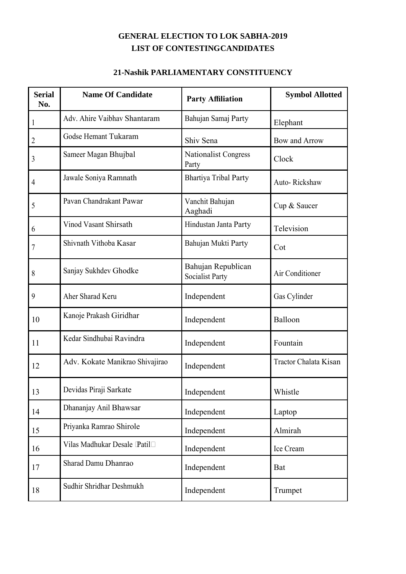#### **21-Nashik PARLIAMENTARY CONSTITUENCY**

| <b>Serial</b><br>No. | <b>Name Of Candidate</b>        | <b>Party Affiliation</b>                     | <b>Symbol Allotted</b> |
|----------------------|---------------------------------|----------------------------------------------|------------------------|
| 1                    | Adv. Ahire Vaibhav Shantaram    | Bahujan Samaj Party                          | Elephant               |
| 2                    | Godse Hemant Tukaram            | Shiv Sena                                    | Bow and Arrow          |
| 3                    | Sameer Magan Bhujbal            | Nationalist Congress<br>Party                | Clock                  |
| 4                    | Jawale Soniya Ramnath           | <b>Bhartiya Tribal Party</b>                 | Auto-Rickshaw          |
| 5                    | Pavan Chandrakant Pawar         | Vanchit Bahujan<br>Aaghadi                   | Cup & Saucer           |
| 6                    | Vinod Vasant Shirsath           | Hindustan Janta Party                        | Television             |
| 7                    | Shivnath Vithoba Kasar          | Bahujan Mukti Party                          | Cot                    |
| 8                    | Sanjay Sukhdev Ghodke           | Bahujan Republican<br><b>Socialist Party</b> | Air Conditioner        |
| 9                    | Aher Sharad Keru                | Independent                                  | Gas Cylinder           |
| 10                   | Kanoje Prakash Giridhar         | Independent                                  | Balloon                |
| 11                   | Kedar Sindhubai Ravindra        | Independent                                  | Fountain               |
| 12                   | Adv. Kokate Manikrao Shivajirao | Independent                                  | Tractor Chalata Kisan  |
| 13                   | Devidas Piraji Sarkate          | Independent                                  | Whistle                |
| 14                   | Dhananjay Anil Bhawsar          | Independent                                  | Laptop                 |
| 15                   | Priyanka Ramrao Shirole         | Independent                                  | Almirah                |
| 16                   | Vilas Madhukar Desale (Patil)   | Independent                                  | Ice Cream              |
| 17                   | Sharad Damu Dhanrao             | Independent                                  | Bat                    |
| 18                   | Sudhir Shridhar Deshmukh        | Independent                                  | Trumpet                |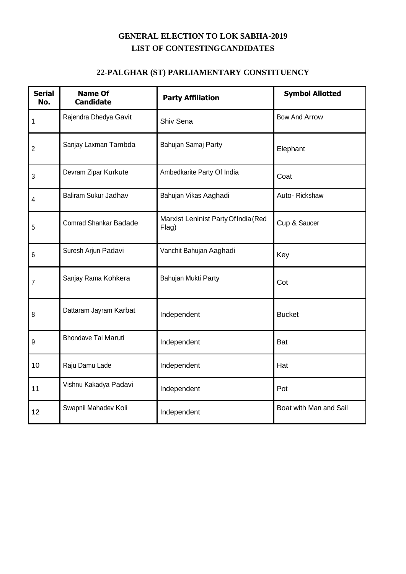### **22-PALGHAR (ST) PARLIAMENTARY CONSTITUENCY**

| <b>Serial</b><br>No. | <b>Name Of</b><br><b>Candidate</b> | <b>Party Affiliation</b>                      | <b>Symbol Allotted</b> |
|----------------------|------------------------------------|-----------------------------------------------|------------------------|
| 1                    | Rajendra Dhedya Gavit              | Shiv Sena                                     | <b>Bow And Arrow</b>   |
| $\overline{2}$       | Sanjay Laxman Tambda               | Bahujan Samaj Party                           | Elephant               |
| 3                    | Devram Zipar Kurkute               | Ambedkarite Party Of India                    | Coat                   |
| 4                    | Baliram Sukur Jadhav               | Bahujan Vikas Aaghadi                         | Auto-Rickshaw          |
| 5                    | <b>Comrad Shankar Badade</b>       | Marxist Leninist Party Of India (Red<br>Flag) | Cup & Saucer           |
| 6                    | Suresh Arjun Padavi                | Vanchit Bahujan Aaghadi                       | Key                    |
| 7                    | Sanjay Rama Kohkera                | Bahujan Mukti Party                           | Cot                    |
| 8                    | Dattaram Jayram Karbat             | Independent                                   | <b>Bucket</b>          |
| 9                    | <b>Bhondave Tai Maruti</b>         | Independent                                   | <b>Bat</b>             |
| 10                   | Raju Damu Lade                     | Independent                                   | Hat                    |
| 11                   | Vishnu Kakadya Padavi              | Independent                                   | Pot                    |
| 12                   | Swapnil Mahadev Koli               | Independent                                   | Boat with Man and Sail |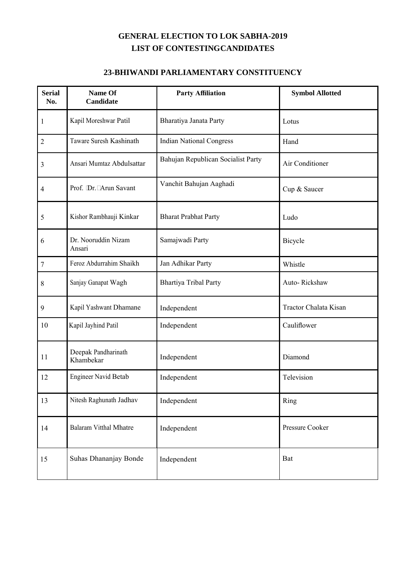#### **23-BHIWANDI PARLIAMENTARY CONSTITUENCY**

| <b>Serial</b><br>No. | Name Of<br>Candidate             | <b>Party Affiliation</b>           | <b>Symbol Allotted</b> |
|----------------------|----------------------------------|------------------------------------|------------------------|
| $\mathbf{1}$         | Kapil Moreshwar Patil            | Bharatiya Janata Party             | Lotus                  |
| $\overline{2}$       | Taware Suresh Kashinath          | <b>Indian National Congress</b>    | Hand                   |
| 3                    | Ansari Mumtaz Abdulsattar        | Bahujan Republican Socialist Party | Air Conditioner        |
| $\overline{4}$       | Prof. (Dr.) Arun Savant          | Vanchit Bahujan Aaghadi            | Cup & Saucer           |
| 5                    | Kishor Rambhauji Kinkar          | <b>Bharat Prabhat Party</b>        | Ludo                   |
| 6                    | Dr. Nooruddin Nizam<br>Ansari    | Samajwadi Party                    | Bicycle                |
| $\boldsymbol{7}$     | Feroz Abdurrahim Shaikh          | Jan Adhikar Party                  | Whistle                |
| 8                    | Sanjay Ganapat Wagh              | <b>Bhartiya Tribal Party</b>       | Auto-Rickshaw          |
| 9                    | Kapil Yashwant Dhamane           | Independent                        | Tractor Chalata Kisan  |
| 10                   | Kapil Jayhind Patil              | Independent                        | Cauliflower            |
| 11                   | Deepak Pandharinath<br>Khambekar | Independent                        | Diamond                |
| 12                   | <b>Engineer Navid Betab</b>      | Independent                        | Television             |
| 13                   | Nitesh Raghunath Jadhav          | Independent                        | Ring                   |
| 14                   | <b>Balaram Vitthal Mhatre</b>    | Independent                        | Pressure Cooker        |
| 15                   | Suhas Dhananjay Bonde            | Independent                        | Bat                    |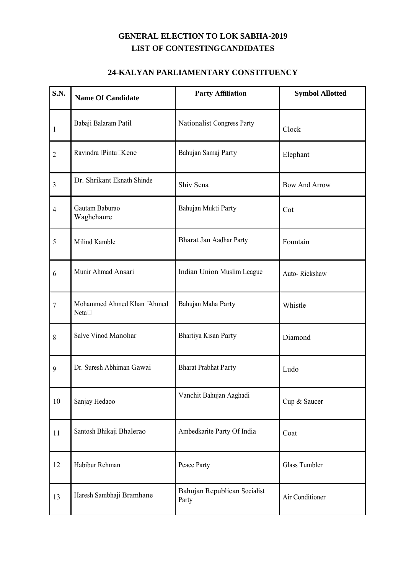#### **24-KALYAN PARLIAMENTARY CONSTITUENCY**

| S.N.           | <b>Name Of Candidate</b>            | <b>Party Affiliation</b>              | <b>Symbol Allotted</b> |
|----------------|-------------------------------------|---------------------------------------|------------------------|
| $\mathbf{1}$   | Babaji Balaram Patil                | Nationalist Congress Party            | Clock                  |
| $\overline{2}$ | Ravindra (Pintu) Kene               | Bahujan Samaj Party                   | Elephant               |
| $\overline{3}$ | Dr. Shrikant Eknath Shinde          | Shiv Sena                             | <b>Bow And Arrow</b>   |
| $\overline{4}$ | Gautam Baburao<br>Waghchaure        | Bahujan Mukti Party                   | Cot                    |
| 5              | Milind Kamble                       | <b>Bharat Jan Aadhar Party</b>        | Fountain               |
| 6              | Munir Ahmad Ansari                  | Indian Union Muslim League            | Auto-Rickshaw          |
| $\overline{7}$ | Mohammed Ahmed Khan (Ahmed<br>Neta) | Bahujan Maha Party                    | Whistle                |
| 8              | Salve Vinod Manohar                 | Bhartiya Kisan Party                  | Diamond                |
| 9              | Dr. Suresh Abhiman Gawai            | <b>Bharat Prabhat Party</b>           | Ludo                   |
| 10             | Sanjay Hedaoo                       | Vanchit Bahujan Aaghadi               | Cup & Saucer           |
| 11             | Santosh Bhikaji Bhalerao            | Ambedkarite Party Of India            | Coat                   |
| 12             | Habibur Rehman                      | Peace Party                           | Glass Tumbler          |
| 13             | Haresh Sambhaji Bramhane            | Bahujan Republican Socialist<br>Party | Air Conditioner        |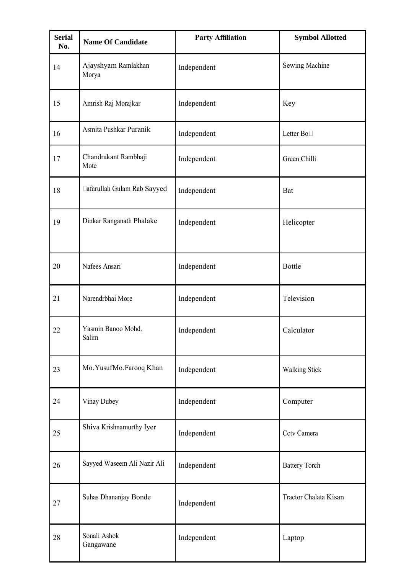| <b>Serial</b><br>No. | <b>Name Of Candidate</b>     | <b>Party Affiliation</b> | <b>Symbol Allotted</b> |
|----------------------|------------------------------|--------------------------|------------------------|
| 14                   | Ajayshyam Ramlakhan<br>Morya | Independent              | Sewing Machine         |
| 15                   | Amrish Raj Morajkar          | Independent              | Key                    |
| 16                   | Asmita Pushkar Puranik       | Independent              | Letter Box             |
| 17                   | Chandrakant Rambhaji<br>Mote | Independent              | Green Chilli           |
| 18                   | Zafarullah Gulam Rab Sayyed  | Independent              | Bat                    |
| 19                   | Dinkar Ranganath Phalake     | Independent              | Helicopter             |
| 20                   | Nafees Ansari                | Independent              | <b>Bottle</b>          |
| 21                   | Narendrbhai More             | Independent              | Television             |
| 22                   | Yasmin Banoo Mohd.<br>Salim  | Independent              | Calculator             |
| 23                   | Mo. YusufMo. Farooq Khan     | Independent              | Walking Stick          |
| 24                   | Vinay Dubey                  | Independent              | Computer               |
| 25                   | Shiva Krishnamurthy Iyer     | Independent              | Cctv Camera            |
| 26                   | Sayyed Waseem Ali Nazir Ali  | Independent              | <b>Battery Torch</b>   |
| 27                   | Suhas Dhananjay Bonde        | Independent              | Tractor Chalata Kisan  |
| 28                   | Sonali Ashok<br>Gangawane    | Independent              | Laptop                 |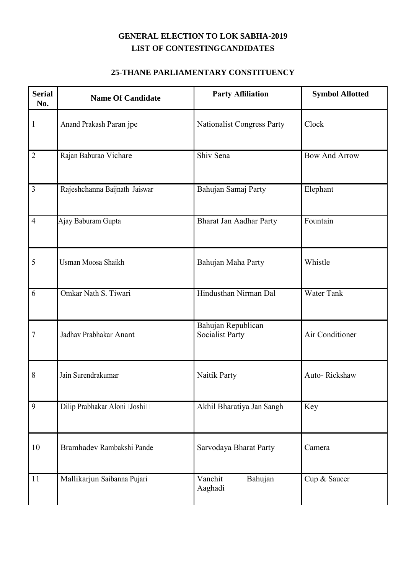#### **25-THANE PARLIAMENTARY CONSTITUENCY**

| <b>Serial</b><br>No. | <b>Name Of Candidate</b>      | <b>Party Affiliation</b>                     | <b>Symbol Allotted</b> |
|----------------------|-------------------------------|----------------------------------------------|------------------------|
| $\mathbf{1}$         | Anand Prakash Paran jpe       | <b>Nationalist Congress Party</b>            | Clock                  |
| $\overline{2}$       | Rajan Baburao Vichare         | Shiv Sena                                    | <b>Bow And Arrow</b>   |
| 3                    | Rajeshchanna Baijnath Jaiswar | Bahujan Samaj Party                          | Elephant               |
| $\overline{4}$       | Ajay Baburam Gupta            | <b>Bharat Jan Aadhar Party</b>               | Fountain               |
| 5                    | Usman Moosa Shaikh            | Bahujan Maha Party                           | Whistle                |
| 6                    | Omkar Nath S. Tiwari          | Hindusthan Nirman Dal                        | <b>Water Tank</b>      |
| $\overline{7}$       | Jadhav Prabhakar Anant        | Bahujan Republican<br><b>Socialist Party</b> | Air Conditioner        |
| 8                    | Jain Surendrakumar            | Naitik Party                                 | Auto-Rickshaw          |
| 9                    | Dilip Prabhakar Aloni (Joshi) | Akhil Bharatiya Jan Sangh                    | Key                    |
| 10                   | Bramhadev Rambakshi Pande     | Sarvodaya Bharat Party                       | Camera                 |
| $11\,$               | Mallikarjun Saibanna Pujari   | Vanchit<br>Bahujan<br>Aaghadi                | Cup & Saucer           |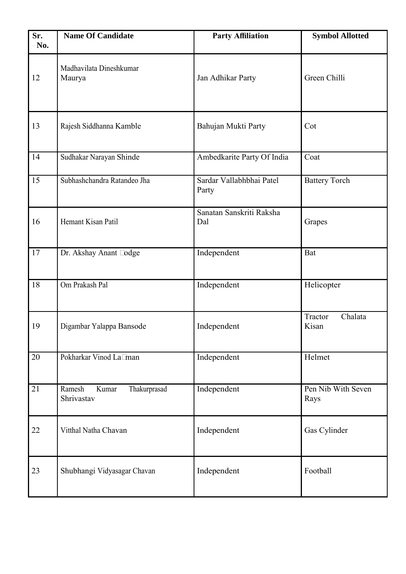| Sr.<br>No. | <b>Name Of Candidate</b>                      | <b>Party Affiliation</b>          | <b>Symbol Allotted</b>      |
|------------|-----------------------------------------------|-----------------------------------|-----------------------------|
| 12         | Madhavilata Dineshkumar<br>Maurya             | Jan Adhikar Party                 | Green Chilli                |
| 13         | Rajesh Siddhanna Kamble                       | Bahujan Mukti Party               | Cot                         |
| 14         | Sudhakar Narayan Shinde                       | Ambedkarite Party Of India        | Coat                        |
| 15         | Subhashchandra Ratandeo Jha                   | Sardar Vallabhbhai Patel<br>Party | <b>Battery Torch</b>        |
| 16         | Hemant Kisan Patil                            | Sanatan Sanskriti Raksha<br>Dal   | Grapes                      |
| 17         | Dr. Akshay Anant Zodge                        | Independent                       | Bat                         |
| 18         | Om Prakash Pal                                | Independent                       | Helicopter                  |
| 19         | Digambar Yalappa Bansode                      | Independent                       | Tractor<br>Chalata<br>Kisan |
| 20         | Pokharkar Vinod Laxman                        | Independent                       | Helmet                      |
| 21         | Thakurprasad<br>Ramesh<br>Kumar<br>Shrivastav | Independent                       | Pen Nib With Seven<br>Rays  |
| 22         | Vitthal Natha Chavan                          | Independent                       | Gas Cylinder                |
| 23         | Shubhangi Vidyasagar Chavan                   | Independent                       | Football                    |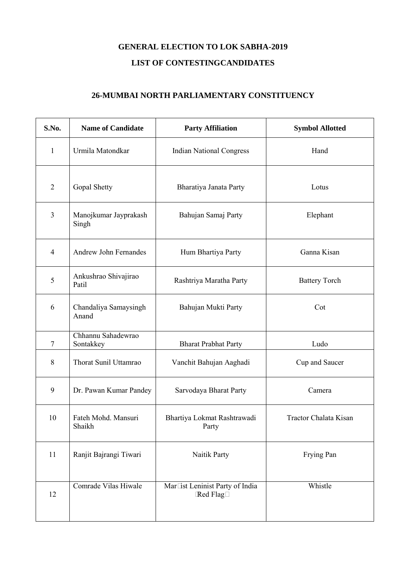#### **26-MUMBAI NORTH PARLIAMENTARY CONSTITUENCY**

| S.No.          | <b>Name of Candidate</b>        | <b>Party Affiliation</b>                      | <b>Symbol Allotted</b> |
|----------------|---------------------------------|-----------------------------------------------|------------------------|
| $\mathbf{1}$   | Urmila Matondkar                | <b>Indian National Congress</b>               | Hand                   |
| $\overline{2}$ | Gopal Shetty                    | Bharatiya Janata Party                        | Lotus                  |
| $\overline{3}$ | Manojkumar Jayprakash<br>Singh  | Bahujan Samaj Party                           | Elephant               |
| $\overline{4}$ | Andrew John Fernandes           | Hum Bhartiya Party                            | Ganna Kisan            |
| 5              | Ankushrao Shivajirao<br>Patil   | Rashtriya Maratha Party                       | <b>Battery Torch</b>   |
| 6              | Chandaliya Samaysingh<br>Anand  | Bahujan Mukti Party                           | Cot                    |
| $\tau$         | Chhannu Sahadewrao<br>Sontakkey | <b>Bharat Prabhat Party</b>                   | Ludo                   |
| 8              | Thorat Sunil Uttamrao           | Vanchit Bahujan Aaghadi                       | Cup and Saucer         |
| 9              | Dr. Pawan Kumar Pandey          | Sarvodaya Bharat Party                        | Camera                 |
| 10             | Fateh Mohd. Mansuri<br>Shaikh   | Bhartiya Lokmat Rashtrawadi<br>Party          | Tractor Chalata Kisan  |
| 11             | Ranjit Bajrangi Tiwari          | Naitik Party                                  | Frying Pan             |
| 12             | Comrade Vilas Hiwale            | Marxist Leninist Party of India<br>(Red Flag) | Whistle                |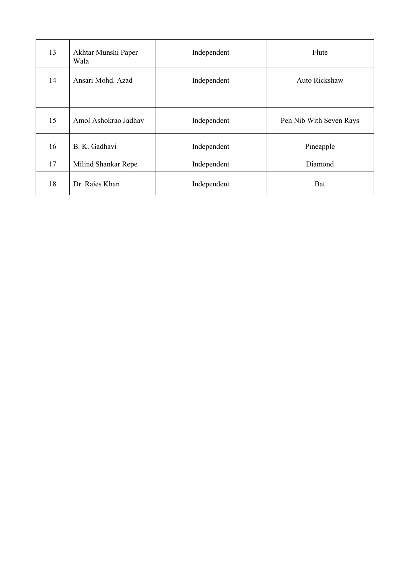| 13 | Akhtar Munshi Paper<br>Wala | Independent | Flute                   |
|----|-----------------------------|-------------|-------------------------|
| 14 | Ansari Mohd. Azad           | Independent | Auto Rickshaw           |
| 15 | Amol Ashokrao Jadhav        | Independent | Pen Nib With Seven Rays |
| 16 | B. K. Gadhavi               | Independent | Pineapple               |
| 17 | Milind Shankar Repe         | Independent | Diamond                 |
| 18 | Dr. Raies Khan              | Independent | <b>Bat</b>              |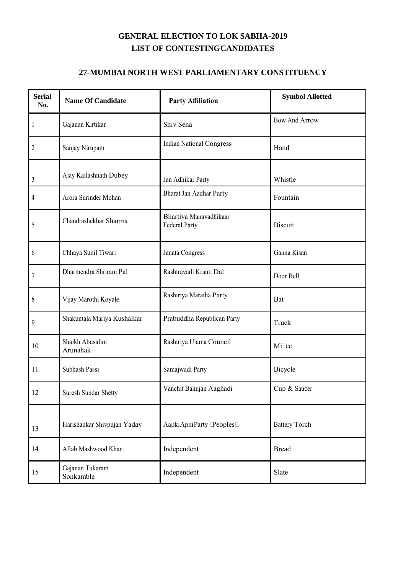#### **27-MUMBAI NORTH WEST PARLIAMENTARY CONSTITUENCY**

| <b>Serial</b><br>No. | <b>Name Of Candidate</b>     | <b>Party Affiliation</b>                | <b>Symbol Allotted</b> |
|----------------------|------------------------------|-----------------------------------------|------------------------|
| $\mathbf{1}$         | Gajanan Kirtikar             | Shiv Sena                               | <b>Bow And Arrow</b>   |
| 2                    | Sanjay Nirupam               | <b>Indian National Congress</b>         | Hand                   |
| 3                    | Ajay Kailashnath Dubey       | Jan Adhikar Party                       | Whistle                |
| $\overline{4}$       | Arora Surinder Mohan         | Bharat Jan Aadhar Party                 | Fountain               |
| 5                    | Chandrashekhar Sharma        | Bhartiya Manavadhikaar<br>Federal Party | <b>Biscuit</b>         |
| 6                    | Chhaya Sunil Tiwari          | Janata Congress                         | Ganna Kisan            |
| $\overline{7}$       | Dharmendra Shriram Pal       | Rashtravadi Kranti Dal                  | Door Bell              |
| 8                    | Vijay Marothi Koyale         | Rashtriya Maratha Party                 | Bat                    |
| 9                    | Shakuntala Mariya Kushalkar  | Prabuddha Republican Party              | Truck                  |
| 10                   | Shaikh Abusalim<br>Arunahak  | Rashtriya Ulama Council                 | Mixee                  |
| 11                   | Subhash Passi                | Samajwadi Party                         | Bicycle                |
| 12                   | Suresh Sundar Shetty         | Vanchit Bahujan Aaghadi                 | Cup & Saucer           |
| 13                   | Harishankar Shivpujan Yadav  | AapkiApniParty (Peoples)                | <b>Battery Torch</b>   |
| 14                   | Aftab Mashwood Khan          | Independent                             | <b>Bread</b>           |
| 15                   | Gajanan Tukaram<br>Sonkamble | Independent                             | Slate                  |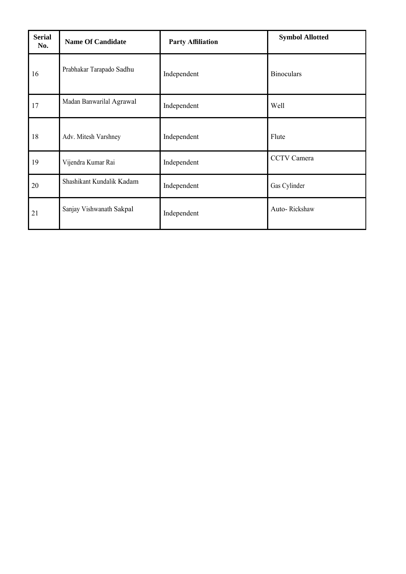| <b>Serial</b><br>No. | <b>Name Of Candidate</b>  | <b>Party Affiliation</b> | <b>Symbol Allotted</b> |
|----------------------|---------------------------|--------------------------|------------------------|
| 16                   | Prabhakar Tarapado Sadhu  | Independent              | <b>Binoculars</b>      |
| 17                   | Madan Banwarilal Agrawal  | Independent              | Well                   |
| 18                   | Adv. Mitesh Varshney      | Independent              | Flute                  |
| 19                   | Vijendra Kumar Rai        | Independent              | CCTV Camera            |
| 20                   | Shashikant Kundalik Kadam | Independent              | Gas Cylinder           |
| 21                   | Sanjay Vishwanath Sakpal  | Independent              | Auto-Rickshaw          |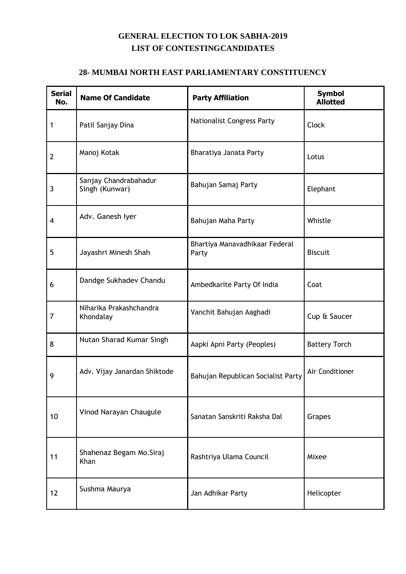#### **28- MUMBAI NORTH EAST PARLIAMENTARY CONSTITUENCY**

| <b>Serial</b><br>No. | <b>Name Of Candidate</b>                | <b>Party Affiliation</b>                | <b>Symbol</b><br><b>Allotted</b> |
|----------------------|-----------------------------------------|-----------------------------------------|----------------------------------|
| 1                    | Patil Sanjay Dina                       | <b>Nationalist Congress Party</b>       | Clock                            |
| $\overline{2}$       | Manoj Kotak                             | Bharatiya Janata Party                  | Lotus                            |
| 3                    | Sanjay Chandrabahadur<br>Singh (Kunwar) | Bahujan Samaj Party                     | Elephant                         |
| 4                    | Adv. Ganesh Iyer                        | Bahujan Maha Party                      | Whistle                          |
| 5                    | Jayashri Minesh Shah                    | Bhartiya Manavadhikaar Federal<br>Party | <b>Biscuit</b>                   |
| 6                    | Dandge Sukhadev Chandu                  | Ambedkarite Party Of India              | Coat                             |
| 7                    | Niharika Prakashchandra<br>Khondalay    | Vanchit Bahujan Aaghadi                 | Cup & Saucer                     |
| 8                    | Nutan Sharad Kumar Singh                | Aapki Apni Party (Peoples)              | <b>Battery Torch</b>             |
| 9                    | Adv. Vijay Janardan Shiktode            | Bahujan Republican Socialist Party      | Air Conditioner                  |
| 10                   | Vinod Narayan Chaugule                  | Sanatan Sanskriti Raksha Dal            | Grapes                           |
| 11                   | Shahenaz Begam Mo.Siraj<br>Khan         | Rashtriya Ulama Council                 | Mixee                            |
| 12                   | Sushma Maurya                           | Jan Adhikar Party                       | Helicopter                       |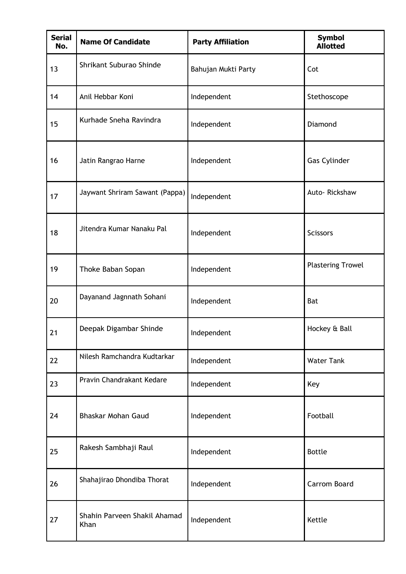| <b>Serial</b><br>No. | <b>Name Of Candidate</b>             | <b>Party Affiliation</b> | <b>Symbol</b><br><b>Allotted</b> |
|----------------------|--------------------------------------|--------------------------|----------------------------------|
| 13                   | Shrikant Suburao Shinde              | Bahujan Mukti Party      | Cot                              |
| 14                   | Anil Hebbar Koni                     | Independent              | Stethoscope                      |
| 15                   | Kurhade Sneha Ravindra               | Independent              | Diamond                          |
| 16                   | Jatin Rangrao Harne                  | Independent              | <b>Gas Cylinder</b>              |
| 17                   | Jaywant Shriram Sawant (Pappa)       | Independent              | Auto-Rickshaw                    |
| 18                   | Jitendra Kumar Nanaku Pal            | Independent              | <b>Scissors</b>                  |
| 19                   | Thoke Baban Sopan                    | Independent              | <b>Plastering Trowel</b>         |
| 20                   | Dayanand Jagnnath Sohani             | Independent              | Bat                              |
| 21                   | Deepak Digambar Shinde               | Independent              | Hockey & Ball                    |
| 22                   | Nilesh Ramchandra Kudtarkar          | Independent              | <b>Water Tank</b>                |
| 23                   | Pravin Chandrakant Kedare            | Independent              | Key                              |
| 24                   | Bhaskar Mohan Gaud                   | Independent              | Football                         |
| 25                   | Rakesh Sambhaji Raul                 | Independent              | <b>Bottle</b>                    |
| 26                   | Shahajirao Dhondiba Thorat           | Independent              | Carrom Board                     |
| 27                   | Shahin Parveen Shakil Ahamad<br>Khan | Independent              | Kettle                           |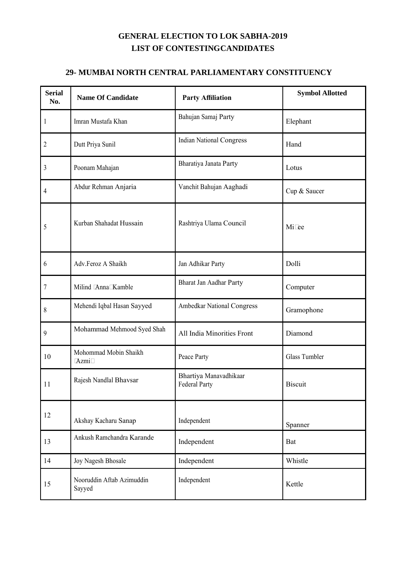#### **29- MUMBAI NORTH CENTRAL PARLIAMENTARY CONSTITUENCY**

| <b>Serial</b><br>No. | <b>Name Of Candidate</b>            | <b>Party Affiliation</b>                       | <b>Symbol Allotted</b> |
|----------------------|-------------------------------------|------------------------------------------------|------------------------|
| 1                    | Imran Mustafa Khan                  | Bahujan Samaj Party                            | Elephant               |
| 2                    | Dutt Priya Sunil                    | <b>Indian National Congress</b>                | Hand                   |
| 3                    | Poonam Mahajan                      | Bharatiya Janata Party                         | Lotus                  |
| 4                    | Abdur Rehman Anjaria                | Vanchit Bahujan Aaghadi                        | Cup & Saucer           |
| 5                    | Kurban Shahadat Hussain             | Rashtriya Ulama Council                        | Mixee                  |
| 6                    | Adv.Feroz A Shaikh                  | Jan Adhikar Party                              | Dolli                  |
| 7                    | Milind (Anna) Kamble                | Bharat Jan Aadhar Party                        | Computer               |
| 8                    | Mehendi Iqbal Hasan Sayyed          | <b>Ambedkar National Congress</b>              | Gramophone             |
| 9                    | Mohammad Mehmood Syed Shah          | All India Minorities Front                     | Diamond                |
| 10                   | Mohommad Mobin Shaikh<br>(Azmi)     | Peace Party                                    | Glass Tumbler          |
| 11                   | Rajesh Nandlal Bhavsar              | Bhartiya Manavadhikaar<br><b>Federal Party</b> | <b>Biscuit</b>         |
| 12                   | Akshay Kacharu Sanap                | Independent                                    | Spanner                |
| 13                   | Ankush Ramchandra Karande           | Independent                                    | Bat                    |
| 14                   | Joy Nagesh Bhosale                  | Independent                                    | Whistle                |
| 15                   | Nooruddin Aftab Azimuddin<br>Sayyed | Independent                                    | Kettle                 |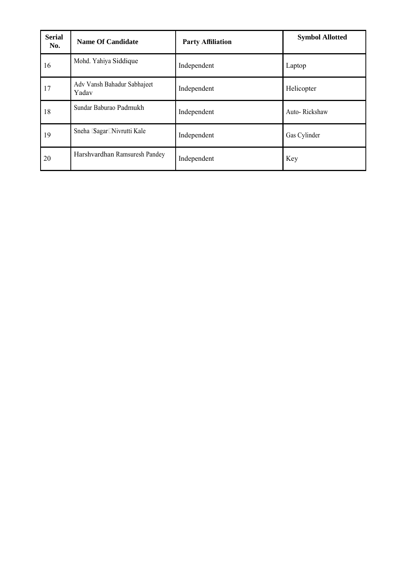| <b>Serial</b><br>No. | <b>Name Of Candidate</b>             | <b>Party Affiliation</b> | <b>Symbol Allotted</b> |
|----------------------|--------------------------------------|--------------------------|------------------------|
| 16                   | Mohd. Yahiya Siddique                | Independent              | Laptop                 |
| 17                   | Adv Vansh Bahadur Sabhajeet<br>Yadav | Independent              | Helicopter             |
| 18                   | Sundar Baburao Padmukh               | Independent              | Auto-Rickshaw          |
| 19                   | Sneha (Sagar) Nivrutti Kale          | Independent              | Gas Cylinder           |
| 20                   | Harshvardhan Ramsuresh Pandey        | Independent              | Key                    |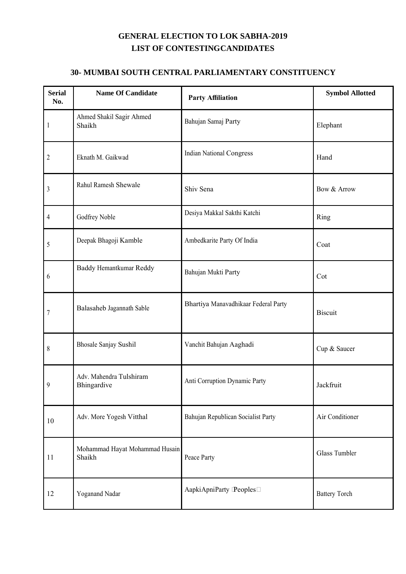#### **30- MUMBAI SOUTH CENTRAL PARLIAMENTARY CONSTITUENCY**

| <b>Serial</b><br>No. | <b>Name Of Candidate</b>                 | <b>Party Affiliation</b>             | <b>Symbol Allotted</b> |
|----------------------|------------------------------------------|--------------------------------------|------------------------|
| $\mathbf{1}$         | Ahmed Shakil Sagir Ahmed<br>Shaikh       | Bahujan Samaj Party                  | Elephant               |
| 2                    | Eknath M. Gaikwad                        | <b>Indian National Congress</b>      | Hand                   |
| $\mathfrak{Z}$       | Rahul Ramesh Shewale                     | Shiv Sena                            | Bow & Arrow            |
| 4                    | Godfrey Noble                            | Desiya Makkal Sakthi Katchi          | Ring                   |
| 5                    | Deepak Bhagoji Kamble                    | Ambedkarite Party Of India           | Coat                   |
| 6                    | Baddy Hemantkumar Reddy                  | Bahujan Mukti Party                  | Cot                    |
| $\boldsymbol{7}$     | Balasaheb Jagannath Sable                | Bhartiya Manavadhikaar Federal Party | <b>Biscuit</b>         |
| 8                    | <b>Bhosale Sanjay Sushil</b>             | Vanchit Bahujan Aaghadi              | Cup & Saucer           |
| 9                    | Adv. Mahendra Tulshiram<br>Bhingardive   | Anti Corruption Dynamic Party        | Jackfruit              |
| 10                   | Adv. More Yogesh Vitthal                 | Bahujan Republican Socialist Party   | Air Conditioner        |
| 11                   | Mohammad Hayat Mohammad Husain<br>Shaikh | Peace Party                          | <b>Glass Tumbler</b>   |
| 12                   | Yoganand Nadar                           | AapkiApniParty (Peoples)             | <b>Battery Torch</b>   |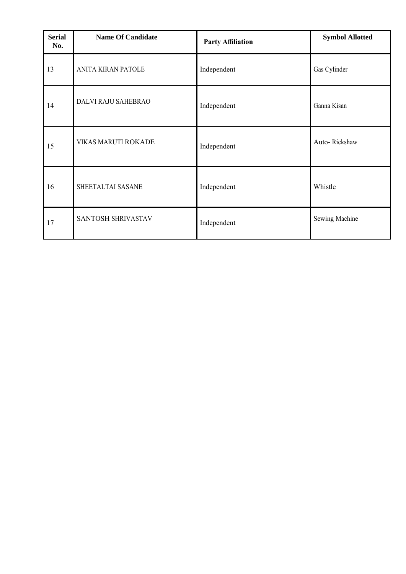| <b>Serial</b><br>No. | <b>Name Of Candidate</b> | <b>Party Affiliation</b> | <b>Symbol Allotted</b> |
|----------------------|--------------------------|--------------------------|------------------------|
| 13                   | ANITA KIRAN PATOLE       | Independent              | Gas Cylinder           |
| 14                   | DALVI RAJU SAHEBRAO      | Independent              | Ganna Kisan            |
| 15                   | VIKAS MARUTI ROKADE      | Independent              | Auto-Rickshaw          |
| 16                   | SHEETALTAI SASANE        | Independent              | Whistle                |
| 17                   | SANTOSH SHRIVASTAV       | Independent              | Sewing Machine         |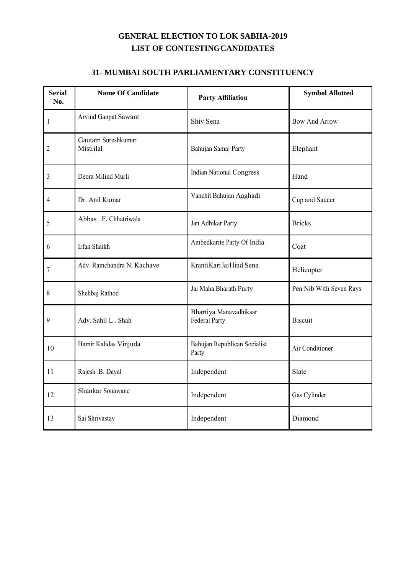#### **31- MUMBAI SOUTH PARLIAMENTARY CONSTITUENCY**

| <b>Serial</b><br>No. | <b>Name Of Candidate</b>        | <b>Party Affiliation</b>                       | <b>Symbol Allotted</b>  |
|----------------------|---------------------------------|------------------------------------------------|-------------------------|
| $\mathbf{1}$         | Arvind Ganpat Sawant            | Shiv Sena                                      | <b>Bow And Arrow</b>    |
| 2                    | Gautam Sureshkumar<br>Mistrilal | Bahujan Samaj Party                            | Elephant                |
| 3                    | Deora Milind Murli              | <b>Indian National Congress</b>                | Hand                    |
| 4                    | Dr. Anil Kumar                  | Vanchit Bahujan Aaghadi                        | Cup and Saucer          |
| 5                    | Abbas . F. Chhatriwala          | Jan Adhikar Party                              | <b>Bricks</b>           |
| 6                    | Irfan Shaikh                    | Ambedkarite Party Of India                     | Coat                    |
| $\overline{7}$       | Adv. Ramchandra N. Kachave      | Kranti Kari Jai Hind Sena                      | Helicopter              |
| 8                    | Shehbaj Rathod                  | Jai Maha Bharath Party                         | Pen Nib With Seven Rays |
| 9                    | Adv. Sahil L. Shah              | Bhartiya Manavadhikaar<br><b>Federal Party</b> | <b>Biscuit</b>          |
| 10                   | Hamir Kalidas Vinjuda           | Bahujan Republican Socialist<br>Party          | Air Conditioner         |
| 11                   | Rajesh .B. Dayal                | Independent                                    | Slate                   |
| 12                   | Shankar Sonawane                | Independent                                    | Gas Cylinder            |
| 13                   | Sai Shrivastav                  | Independent                                    | Diamond                 |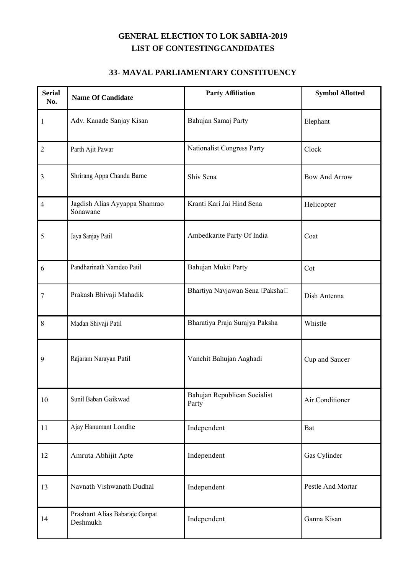#### **33- MAVAL PARLIAMENTARY CONSTITUENCY**

| <b>Serial</b><br>No. | <b>Name Of Candidate</b>                   | <b>Party Affiliation</b>              | <b>Symbol Allotted</b> |
|----------------------|--------------------------------------------|---------------------------------------|------------------------|
| $\mathbf{1}$         | Adv. Kanade Sanjay Kisan                   | Bahujan Samaj Party                   | Elephant               |
| $\sqrt{2}$           | Parth Ajit Pawar                           | Nationalist Congress Party            | Clock                  |
| 3                    | Shrirang Appa Chandu Barne                 | Shiv Sena                             | <b>Bow And Arrow</b>   |
| $\overline{4}$       | Jagdish Alias Ayyappa Shamrao<br>Sonawane  | Kranti Kari Jai Hind Sena             | Helicopter             |
| 5                    | Jaya Sanjay Patil                          | Ambedkarite Party Of India            | Coat                   |
| 6                    | Pandharinath Namdeo Patil                  | Bahujan Mukti Party                   | Cot                    |
| 7                    | Prakash Bhivaji Mahadik                    | Bhartiya Navjawan Sena (Paksha)       | Dish Antenna           |
| 8                    | Madan Shivaji Patil                        | Bharatiya Praja Surajya Paksha        | Whistle                |
| 9                    | Rajaram Narayan Patil                      | Vanchit Bahujan Aaghadi               | Cup and Saucer         |
| 10                   | Sunil Baban Gaikwad                        | Bahujan Republican Socialist<br>Party | Air Conditioner        |
| 11                   | Ajay Hanumant Londhe                       | Independent                           | Bat                    |
| 12                   | Amruta Abhijit Apte                        | Independent                           | Gas Cylinder           |
| 13                   | Navnath Vishwanath Dudhal                  | Independent                           | Pestle And Mortar      |
| 14                   | Prashant Alias Babaraje Ganpat<br>Deshmukh | Independent                           | Ganna Kisan            |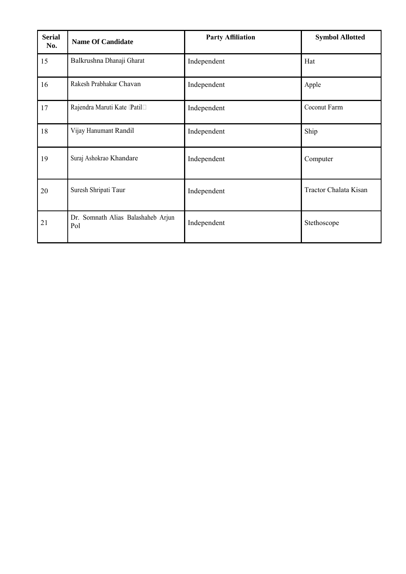| <b>Serial</b><br>No. | <b>Name Of Candidate</b>                  | <b>Party Affiliation</b> | <b>Symbol Allotted</b> |
|----------------------|-------------------------------------------|--------------------------|------------------------|
| 15                   | Balkrushna Dhanaji Gharat                 | Independent              | Hat                    |
| 16                   | Rakesh Prabhakar Chavan                   | Independent              | Apple                  |
| 17                   | Rajendra Maruti Kate (Patil)              | Independent              | Coconut Farm           |
| 18                   | Vijay Hanumant Randil                     | Independent              | Ship                   |
| 19                   | Suraj Ashokrao Khandare                   | Independent              | Computer               |
| 20                   | Suresh Shripati Taur                      | Independent              | Tractor Chalata Kisan  |
| 21                   | Dr. Somnath Alias Balashaheb Arjun<br>Pol | Independent              | Stethoscope            |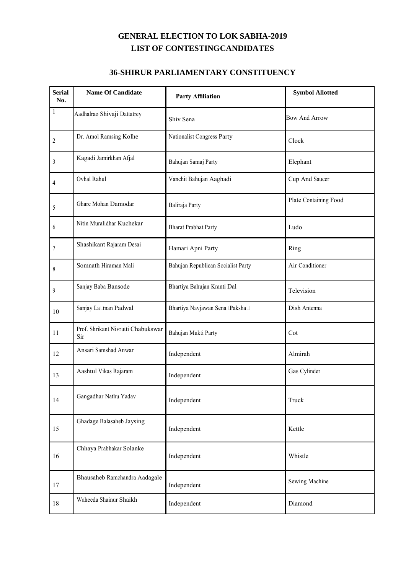#### **36-SHIRUR PARLIAMENTARY CONSTITUENCY**

| <b>Serial</b><br>No. | <b>Name Of Candidate</b>                  | <b>Party Affiliation</b>           | <b>Symbol Allotted</b> |
|----------------------|-------------------------------------------|------------------------------------|------------------------|
| $\mathbf{1}$         | Aadhalrao Shivaji Dattatrey               | Shiv Sena                          | <b>Bow And Arrow</b>   |
| $\overline{c}$       | Dr. Amol Ramsing Kolhe                    | Nationalist Congress Party         | Clock                  |
| $\overline{3}$       | Kagadi Jamirkhan Afjal                    | Bahujan Samaj Party                | Elephant               |
| 4                    | Ovhal Rahul                               | Vanchit Bahujan Aaghadi            | Cup And Saucer         |
| 5                    | Ghare Mohan Damodar                       | Baliraja Party                     | Plate Containing Food  |
| 6                    | Nitin Muralidhar Kuchekar                 | <b>Bharat Prabhat Party</b>        | Ludo                   |
| $\overline{7}$       | Shashikant Rajaram Desai                  | Hamari Apni Party                  | Ring                   |
| 8                    | Somnath Hiraman Mali                      | Bahujan Republican Socialist Party | Air Conditioner        |
| 9                    | Sanjay Baba Bansode                       | Bhartiya Bahujan Kranti Dal        | Television             |
| 10                   | Sanjay Laxman Padwal                      | Bhartiya Navjawan Sena (Paksha)    | Dish Antenna           |
| 11                   | Prof. Shrikant Nivrutti Chabukswar<br>Sir | Bahujan Mukti Party                | Cot                    |
| 12                   | Ansari Samshad Anwar                      | Independent                        | Almirah                |
| 13                   | Aashtul Vikas Rajaram                     | Independent                        | Gas Cylinder           |
| 14                   | Gangadhar Nathu Yadav                     | Independent                        | Truck                  |
| 15                   | Ghadage Balasaheb Jaysing                 | Independent                        | Kettle                 |
| 16                   | Chhaya Prabhakar Solanke                  | Independent                        | Whistle                |
| 17                   | Bhausaheb Ramchandra Aadagale             | Independent                        | Sewing Machine         |
| 18                   | Waheeda Shainur Shaikh                    | Independent                        | Diamond                |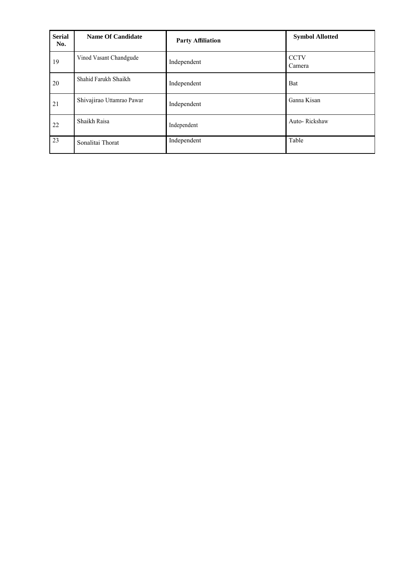| <b>Serial</b><br>No. | <b>Name Of Candidate</b>  | <b>Party Affiliation</b> | <b>Symbol Allotted</b> |
|----------------------|---------------------------|--------------------------|------------------------|
| 19                   | Vinod Vasant Chandgude    | Independent              | <b>CCTV</b><br>Camera  |
| 20                   | Shahid Farukh Shaikh      | Independent              | Bat                    |
| 21                   | Shivajirao Uttamrao Pawar | Independent              | Ganna Kisan            |
| 22                   | Shaikh Raisa              | Independent              | Auto-Rickshaw          |
| 23                   | Sonalitai Thorat          | Independent              | Table                  |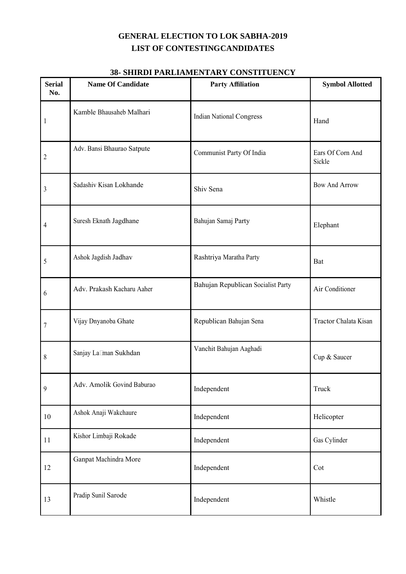| <b>Serial</b><br>No. | <b>Name Of Candidate</b>   | <b>Party Affiliation</b>           | <b>Symbol Allotted</b>     |
|----------------------|----------------------------|------------------------------------|----------------------------|
| 1                    | Kamble Bhausaheb Malhari   | <b>Indian National Congress</b>    | Hand                       |
| $\overline{c}$       | Adv. Bansi Bhaurao Satpute | Communist Party Of India           | Ears Of Corn And<br>Sickle |
| 3                    | Sadashiv Kisan Lokhande    | Shiv Sena                          | <b>Bow And Arrow</b>       |
| 4                    | Suresh Eknath Jagdhane     | Bahujan Samaj Party                | Elephant                   |
| 5                    | Ashok Jagdish Jadhav       | Rashtriya Maratha Party            | Bat                        |
| 6                    | Adv. Prakash Kacharu Aaher | Bahujan Republican Socialist Party | Air Conditioner            |
| 7                    | Vijay Dnyanoba Ghate       | Republican Bahujan Sena            | Tractor Chalata Kisan      |
| 8                    | Sanjay Laxman Sukhdan      | Vanchit Bahujan Aaghadi            | Cup & Saucer               |
| 9                    | Adv. Amolik Govind Baburao | Independent                        | Truck                      |
| $10\,$               | Ashok Anaji Wakchaure      | Independent                        | Helicopter                 |
| 11                   | Kishor Limbaji Rokade      | Independent                        | Gas Cylinder               |
| 12                   | Ganpat Machindra More      | Independent                        | Cot                        |
| 13                   | Pradip Sunil Sarode        | Independent                        | Whistle                    |

#### **38- SHIRDI PARLIAMENTARY CONSTITUENCY**